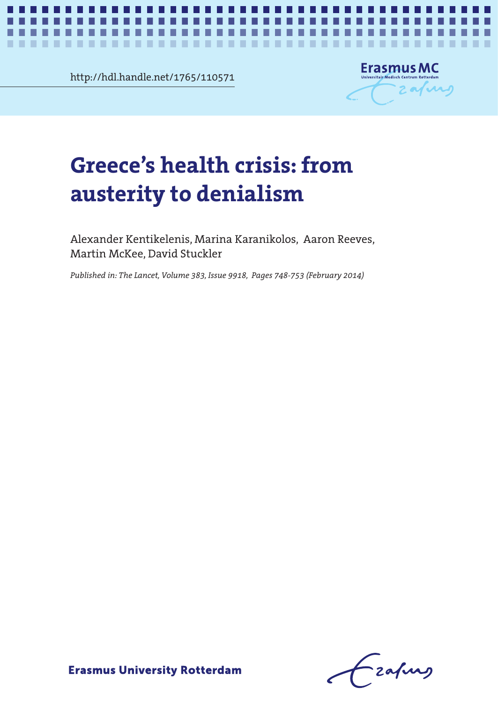http://hdl.handle.net/1765/110571

٠



. . .

×

# **Greece's health crisis: from**  $\blacksquare$ **austerity to denialism**

*Greece's health crisis: from austerity to denialism* **1**

Alexander Kentikelenis, Marina Karanikolos, Aaron Reeves, Martin McKee, David Stuckler

*Published in: The Lancet, Volume 383, Issue 9918, Pages 748-753 (February 2014)*

frafing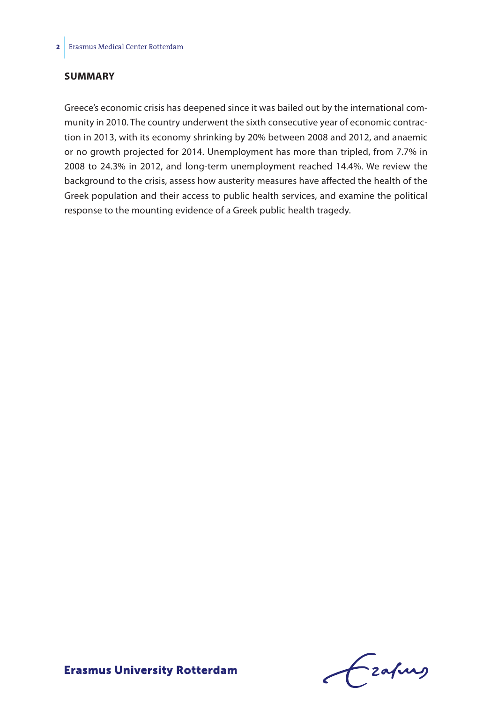## **Summary**

Greece's economic crisis has deepened since it was bailed out by the international community in 2010. The country underwent the sixth consecutive year of economic contraction in 2013, with its economy shrinking by 20% between 2008 and 2012, and anaemic or no growth projected for 2014. Unemployment has more than tripled, from 7.7% in 2008 to 24.3% in 2012, and long-term unemployment reached 14.4%. We review the background to the crisis, assess how austerity measures have affected the health of the Greek population and their access to public health services, and examine the political response to the mounting evidence of a Greek public health tragedy.

Frahing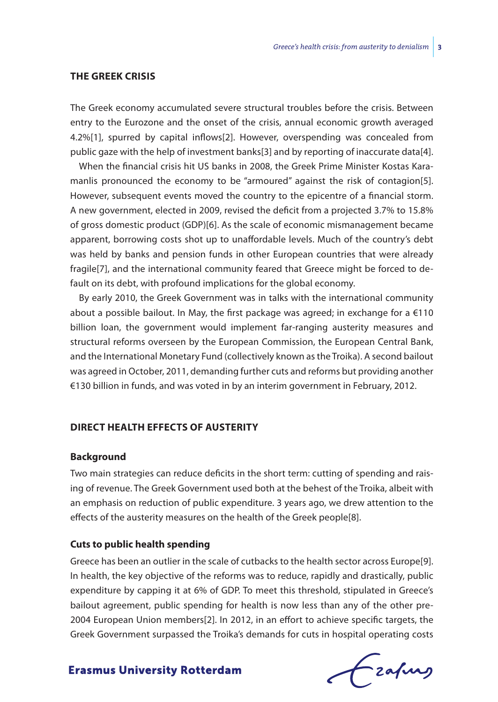#### **The Greek crisis**

The Greek economy accumulated severe structural troubles before the crisis. Between entry to the Eurozone and the onset of the crisis, annual economic growth averaged 4.2%[1], spurred by capital inflows[2]. However, overspending was concealed from public gaze with the help of investment banks[3] and by reporting of inaccurate data[4].

When the financial crisis hit US banks in 2008, the Greek Prime Minister Kostas Karamanlis pronounced the economy to be "armoured" against the risk of contagion[5]. However, subsequent events moved the country to the epicentre of a financial storm. A new government, elected in 2009, revised the deficit from a projected 3.7% to 15.8% of gross domestic product (GDP)[6]. As the scale of economic mismanagement became apparent, borrowing costs shot up to unaffordable levels. Much of the country's debt was held by banks and pension funds in other European countries that were already fragile[7], and the international community feared that Greece might be forced to default on its debt, with profound implications for the global economy.

By early 2010, the Greek Government was in talks with the international community about a possible bailout. In May, the first package was agreed; in exchange for a  $\epsilon$ 110 billion loan, the government would implement far-ranging austerity measures and structural reforms overseen by the European Commission, the European Central Bank, and the International Monetary Fund (collectively known as the Troika). A second bailout was agreed in October, 2011, demanding further cuts and reforms but providing another €130 billion in funds, and was voted in by an interim government in February, 2012.

## **Direct health effects of austerity**

#### **Background**

Two main strategies can reduce deficits in the short term: cutting of spending and raising of revenue. The Greek Government used both at the behest of the Troika, albeit with an emphasis on reduction of public expenditure. 3 years ago, we drew attention to the effects of the austerity measures on the health of the Greek people[8].

# **Cuts to public health spending**

Greece has been an outlier in the scale of cutbacks to the health sector across Europe[9]. In health, the key objective of the reforms was to reduce, rapidly and drastically, public expenditure by capping it at 6% of GDP. To meet this threshold, stipulated in Greece's bailout agreement, public spending for health is now less than any of the other pre-2004 European Union members[2]. In 2012, in an effort to achieve specific targets, the Greek Government surpassed the Troika's demands for cuts in hospital operating costs

Czafing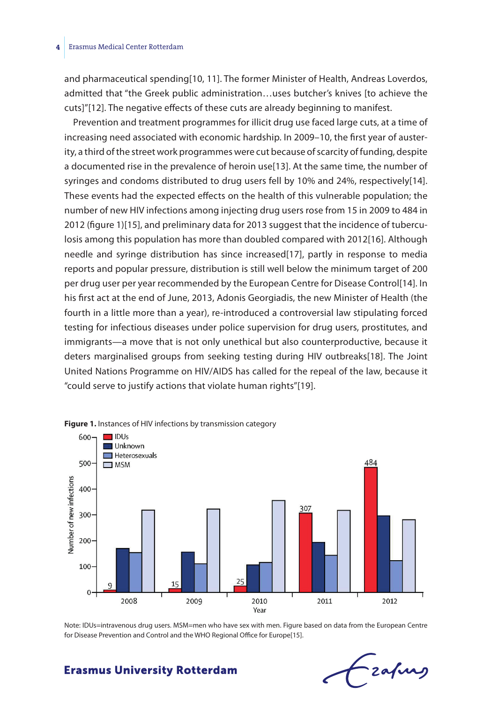#### **4** Erasmus Medical Center Rotterdam

and pharmaceutical spending[10, 11]. The former Minister of Health, Andreas Loverdos, admitted that "the Greek public administration…uses butcher's knives [to achieve the cuts]"[12]. The negative effects of these cuts are already beginning to manifest.

Prevention and treatment programmes for illicit drug use faced large cuts, at a time of increasing need associated with economic hardship. In 2009–10, the first year of austerity, a third of the street work programmes were cut because of scarcity of funding, despite a documented rise in the prevalence of heroin use[13]. At the same time, the number of syringes and condoms distributed to drug users fell by 10% and 24%, respectively[14]. These events had the expected effects on the health of this vulnerable population; the number of new HIV infections among injecting drug users rose from 15 in 2009 to 484 in 2012 (figure 1)[15], and preliminary data for 2013 suggest that the incidence of tuberculosis among this population has more than doubled compared with 2012[16]. Although needle and syringe distribution has since increased[17], partly in response to media reports and popular pressure, distribution is still well below the minimum target of 200 per drug user per year recommended by the European Centre for Disease Control[14]. In his first act at the end of June, 2013, Adonis Georgiadis, the new Minister of Health (the fourth in a little more than a year), re-introduced a controversial law stipulating forced testing for infectious diseases under police supervision for drug users, prostitutes, and immigrants—a move that is not only unethical but also counterproductive, because it deters marginalised groups from seeking testing during HIV outbreaks[18]. The Joint United Nations Programme on HIV/AIDS has called for the repeal of the law, because it "could serve to justify actions that violate human rights"[19].



**Figure 1.** Instances of HIV infections by transmission category

Note: IDUs=intravenous drug users. MSM=men who have sex with men. Figure based on data from the European Centre for Disease Prevention and Control and the WHO Regional Office for Europe[15].

Lzafung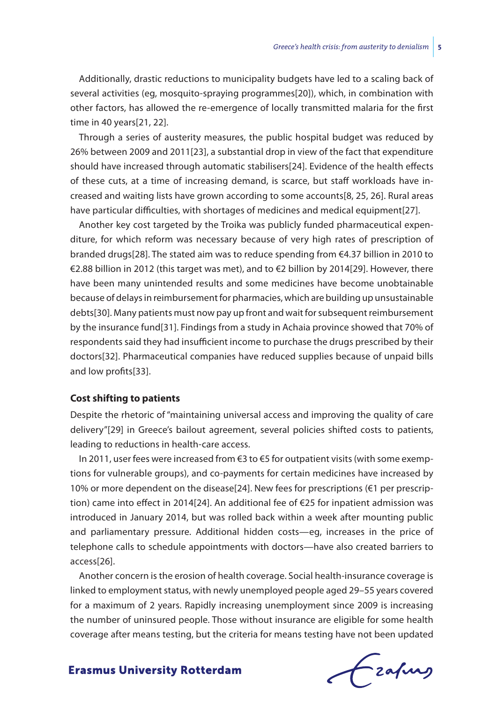Additionally, drastic reductions to municipality budgets have led to a scaling back of several activities (eg, mosquito-spraying programmes[20]), which, in combination with other factors, has allowed the re-emergence of locally transmitted malaria for the first time in 40 years[21, 22].

Through a series of austerity measures, the public hospital budget was reduced by 26% between 2009 and 2011[23], a substantial drop in view of the fact that expenditure should have increased through automatic stabilisers[24]. Evidence of the health effects of these cuts, at a time of increasing demand, is scarce, but staff workloads have increased and waiting lists have grown according to some accounts[8, 25, 26]. Rural areas have particular difficulties, with shortages of medicines and medical equipment[27].

Another key cost targeted by the Troika was publicly funded pharmaceutical expenditure, for which reform was necessary because of very high rates of prescription of branded drugs[28]. The stated aim was to reduce spending from €4.37 billion in 2010 to €2.88 billion in 2012 (this target was met), and to €2 billion by 2014[29]. However, there have been many unintended results and some medicines have become unobtainable because of delays in reimbursement for pharmacies, which are building up unsustainable debts[30]. Many patients must now pay up front and wait for subsequent reimbursement by the insurance fund[31]. Findings from a study in Achaia province showed that 70% of respondents said they had insufficient income to purchase the drugs prescribed by their doctors[32]. Pharmaceutical companies have reduced supplies because of unpaid bills and low profits[33].

# **Cost shifting to patients**

Despite the rhetoric of "maintaining universal access and improving the quality of care delivery"[29] in Greece's bailout agreement, several policies shifted costs to patients, leading to reductions in health-care access.

In 2011, user fees were increased from €3 to €5 for outpatient visits (with some exemptions for vulnerable groups), and co-payments for certain medicines have increased by 10% or more dependent on the disease[24]. New fees for prescriptions (€1 per prescription) came into effect in 2014[24]. An additional fee of €25 for inpatient admission was introduced in January 2014, but was rolled back within a week after mounting public and parliamentary pressure. Additional hidden costs—eg, increases in the price of telephone calls to schedule appointments with doctors—have also created barriers to access[26].

Another concern is the erosion of health coverage. Social health-insurance coverage is linked to employment status, with newly unemployed people aged 29–55 years covered for a maximum of 2 years. Rapidly increasing unemployment since 2009 is increasing the number of uninsured people. Those without insurance are eligible for some health coverage after means testing, but the criteria for means testing have not been updated

Czafing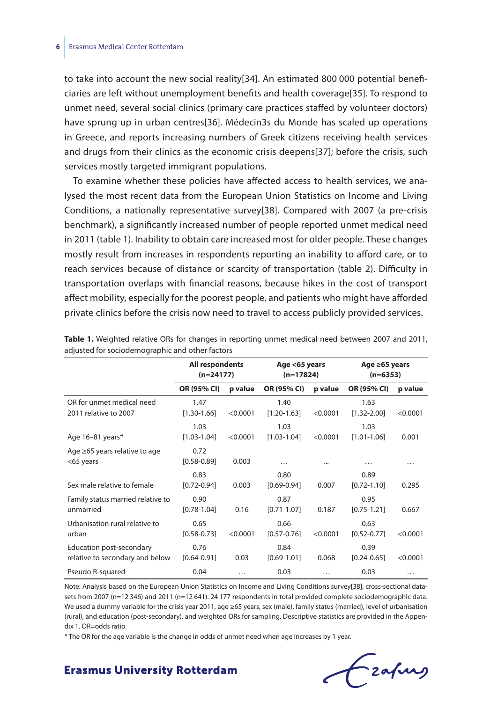to take into account the new social reality[34]. An estimated 800 000 potential beneficiaries are left without unemployment benefits and health coverage[35]. To respond to unmet need, several social clinics (primary care practices staffed by volunteer doctors) have sprung up in urban centres[36]. Médecin3s du Monde has scaled up operations in Greece, and reports increasing numbers of Greek citizens receiving health services and drugs from their clinics as the economic crisis deepens[37]; before the crisis, such services mostly targeted immigrant populations.

To examine whether these policies have affected access to health services, we analysed the most recent data from the European Union Statistics on Income and Living Conditions, a nationally representative survey[38]. Compared with 2007 (a pre-crisis benchmark), a significantly increased number of people reported unmet medical need in 2011 (table 1). Inability to obtain care increased most for older people. These changes mostly result from increases in respondents reporting an inability to afford care, or to reach services because of distance or scarcity of transportation (table 2). Difficulty in transportation overlaps with financial reasons, because hikes in the cost of transport affect mobility, especially for the poorest people, and patients who might have afforded private clinics before the crisis now need to travel to access publicly provided services.

|                                                             | All respondents<br>$(n=24177)$ |          | Age <65 years<br>$(n=17824)$ |          | Age ≥65 years<br>$(n=6353)$ |          |
|-------------------------------------------------------------|--------------------------------|----------|------------------------------|----------|-----------------------------|----------|
|                                                             | OR (95% CI)                    | p value  | OR (95% CI)                  | p value  | OR (95% CI)                 | p value  |
| OR for unmet medical need<br>2011 relative to 2007          | 1.47<br>$[1.30 - 1.66]$        | < 0.0001 | 1.40<br>$[1.20 - 1.63]$      | < 0.0001 | 1.63<br>$[1.32 - 2.00]$     | < 0.0001 |
| Age 16-81 years*                                            | 1.03<br>$[1.03 - 1.04]$        | < 0.0001 | 1.03<br>$[1.03 - 1.04]$      | < 0.0001 | 1.03<br>$[1.01 - 1.06]$     | 0.001    |
| Age $\geq 65$ years relative to age<br><65 years            | 0.72<br>$[0.58 - 0.89]$        | 0.003    | $\cdots$                     |          | .                           | .        |
| Sex male relative to female                                 | 0.83<br>$[0.72 - 0.94]$        | 0.003    | 0.80<br>$[0.69 - 0.94]$      | 0.007    | 0.89<br>$[0.72 - 1.10]$     | 0.295    |
| Family status married relative to<br>unmarried              | 0.90<br>$[0.78 - 1.04]$        | 0.16     | 0.87<br>$[0.71 - 1.07]$      | 0.187    | 0.95<br>$[0.75 - 1.21]$     | 0.667    |
| Urbanisation rural relative to<br>urban                     | 0.65<br>$[0.58 - 0.73]$        | < 0.0001 | 0.66<br>$[0.57 - 0.76]$      | < 0.0001 | 0.63<br>$[0.52 - 0.77]$     | < 0.0001 |
| Education post-secondary<br>relative to secondary and below | 0.76<br>$[0.64 - 0.91]$        | 0.03     | 0.84<br>$[0.69 - 1.01]$      | 0.068    | 0.39<br>$[0.24 - 0.65]$     | < 0.0001 |
| Pseudo R-squared                                            | 0.04                           | $\cdots$ | 0.03                         | $\cdots$ | 0.03                        | .        |

| Table 1. Weighted relative ORs for changes in reporting unmet medical need between 2007 and 2011, |  |  |  |  |  |  |
|---------------------------------------------------------------------------------------------------|--|--|--|--|--|--|
| adjusted for sociodemographic and other factors                                                   |  |  |  |  |  |  |

Note: Analysis based on the European Union Statistics on Income and Living Conditions survey[38], cross-sectional datasets from 2007 (n=12 346) and 2011 (n=12 641). 24 177 respondents in total provided complete sociodemographic data. We used a dummy variable for the crisis year 2011, age ≥65 years, sex (male), family status (married), level of urbanisation (rural), and education (post-secondary), and weighted ORs for sampling. Descriptive statistics are provided in the Appendix 1. OR=odds ratio.

\* The OR for the age variable is the change in odds of unmet need when age increases by 1 year.

frafing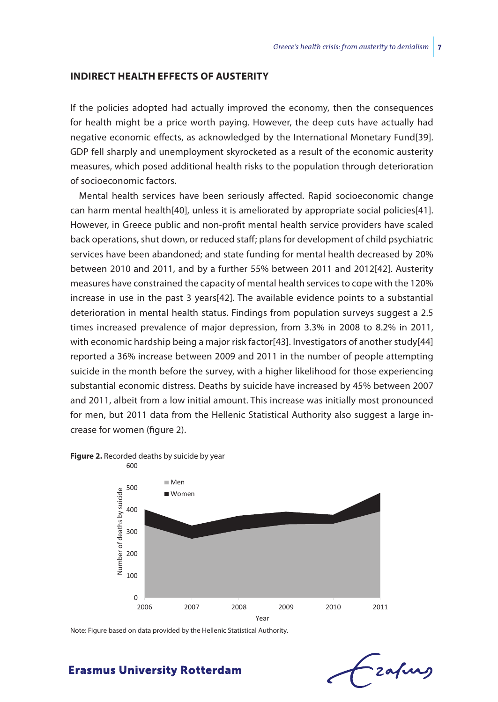#### **Indirect health effects of austerity**

If the policies adopted had actually improved the economy, then the consequences for health might be a price worth paying. However, the deep cuts have actually had negative economic effects, as acknowledged by the International Monetary Fund[39]. GDP fell sharply and unemployment skyrocketed as a result of the economic austerity measures, which posed additional health risks to the population through deterioration of socioeconomic factors.

Mental health services have been seriously affected. Rapid socioeconomic change can harm mental health[40], unless it is ameliorated by appropriate social policies[41]. However, in Greece public and non-profit mental health service providers have scaled back operations, shut down, or reduced staff; plans for development of child psychiatric services have been abandoned; and state funding for mental health decreased by 20% between 2010 and 2011, and by a further 55% between 2011 and 2012[42]. Austerity measures have constrained the capacity of mental health services to cope with the 120% increase in use in the past 3 years[42]. The available evidence points to a substantial deterioration in mental health status. Findings from population surveys suggest a 2.5 times increased prevalence of major depression, from 3.3% in 2008 to 8.2% in 2011, with economic hardship being a major risk factor[43]. Investigators of another study[44] reported a 36% increase between 2009 and 2011 in the number of people attempting suicide in the month before the survey, with a higher likelihood for those experiencing substantial economic distress. Deaths by suicide have increased by 45% between 2007 and 2011, albeit from a low initial amount. This increase was initially most pronounced for men, but 2011 data from the Hellenic Statistical Authority also suggest a large increase for women (figure 2).

#### **Figure 2.** Recorded deaths by suicide by year



Note: Figure based on data provided by the Hellenic Statistical Authority.

# -zafurg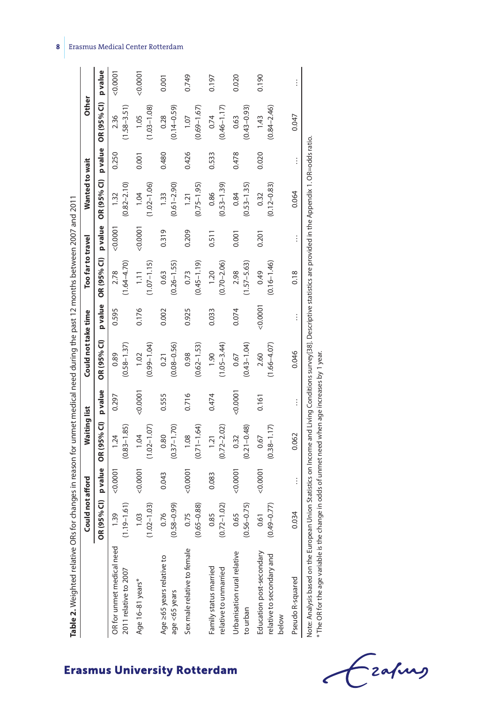| Table 2. Weighted relative ORs f                               |                              |          |                         |          | or changes in reason for unmet medical need during the past 12 months between 2007 and 2011 |          |                         |         |                         |          |                         |          |
|----------------------------------------------------------------|------------------------------|----------|-------------------------|----------|---------------------------------------------------------------------------------------------|----------|-------------------------|---------|-------------------------|----------|-------------------------|----------|
|                                                                | Could not afford             |          | Waiting list            |          | Could not take time                                                                         |          | Too far to travel       |         | Wanted to wait          |          | <b>Other</b>            |          |
|                                                                | 95% CI)<br>OR <sub>(</sub>   | p value  | OR (95% CI)             | p value  | OR (95% CI)                                                                                 | p value  | OR (95% CI)             | p value | OR (95% CI)             | pvalue   | OR (95% CI)             | p value  |
| OR for unmet medical need<br>2011 relative to 2007             | $9 - 1.61$<br>1.39           | 0.0001   | $(0.83 - 1.85)$<br>1.24 | 0.297    | $(0.58 - 1.37)$<br>0.89                                                                     | 0.595    | $(1.64 - 4.70)$<br>2.78 | 0.0001  | $(0.82 - 2.10)$<br>1.32 | 0.250    | $(1.58 - 3.51)$<br>2.36 | 0.0001   |
| Age 16-81 years*                                               | $(1.02 - 1.03)$<br>1.03      | 0.0001   | $(1.02 - 1.07)$<br>1.04 | 0.0001   | $(0.99 - 1.04)$<br>1.02                                                                     | 0.176    | $(1.07 - 1.15)$<br>1.11 | 0.0001  | $(1.02 - 1.06)$<br>1.04 | 0.001    | $(1.03 - 1.08)$<br>1.05 | 0.0001   |
| Age ≥65 years relative to<br>age <65 years                     | $(0.58 - 0.99)$<br>0.76      | 0.043    | $(0.37 - 1.70)$<br>0.80 | 0.555    | $(0.08 - 0.56)$<br>0.21                                                                     | 0.002    | $(0.26 - 1.55)$<br>0.63 | 0.319   | $(0.61 - 2.90)$<br>1.33 | 0.480    | $(0.14 - 0.59)$<br>0.28 | 0.001    |
| Sex male relative to female                                    | $(0.65 - 0.88)$<br>0.75      | 0.0001   | $(0.71 - 1.64)$<br>1.08 | 0.716    | $(0.62 - 1.53)$<br>0.98                                                                     | 0.925    | $(0.45 - 1.19)$<br>0.73 | 0.209   | $(0.75 - 1.95)$<br>1.21 | 0.426    | $(0.69 - 1.67)$<br>1.07 | 0.749    |
| Family status married<br>relative to unmarried                 | $(0.72 - 1.02)$<br>0.85      | 0.083    | $(0.72 - 2.02)$<br>1.21 | 0.474    | $(1.05 - 3.44)$<br>1.90                                                                     | 0.033    | $(0.70 - 2.06)$<br>1.20 | 0.511   | $(0.53 - 1.39)$<br>0.86 | 0.533    | $(0.46 - 1.17)$<br>0.74 | 0.197    |
| Urbanisation rural relative<br>to urban                        | $(0.56 - 0.75)$<br>0.65      | 0.0001   | $(0.21 - 0.48)$<br>0.32 | 0.0007   | $(0.43 - 1.04)$<br>0.67                                                                     | 0.074    | $(1.57 - 5.63)$<br>2.98 | 0.001   | $(0.53 - 1.35)$<br>0.84 | 0.478    | $(0.43 - 0.93)$<br>0.63 | 0.020    |
| Education post-secondary<br>relative to secondary and<br>below | $19 - 0.77$<br>0.61<br>(0.4) | 0.0001   | $(0.38 - 1.17)$<br>0.67 | 0.161    | $(1.66 - 4.07)$<br>2.60                                                                     | 0.0001   | $(0.16 - 1.46)$<br>0.49 | 0.201   | $(0.12 - 0.83)$<br>0.32 | 0.020    | $(0.84 - 2.46)$<br>1.43 | 0.190    |
| Pseudo R-squared                                               | 0.034                        | $\vdots$ | 0.062                   | $\vdots$ | 0.046                                                                                       | $\vdots$ | 0.18                    |         | 0.064                   | $\vdots$ | 0.047                   | $\vdots$ |
|                                                                |                              |          |                         |          | i                                                                                           |          |                         |         |                         |          |                         |          |

Note: Analysis based on the European Union Statistics on Income and Living Conditions survey[38]. Descriptive statistics are provided in the Appendix 1. OR=odds ratio. Note: Analysis based on the European Union Statistics on Income and Living Conditions survey[38]. Descriptive statistics are provided in the Appendix 1. OR=odds ratio.

\* The OR for the age variable is the change in odds of unmet need when age increases by 1 year. \* The OR for the age variable is the change in odds of unmet need when age increases by 1 year.



# 립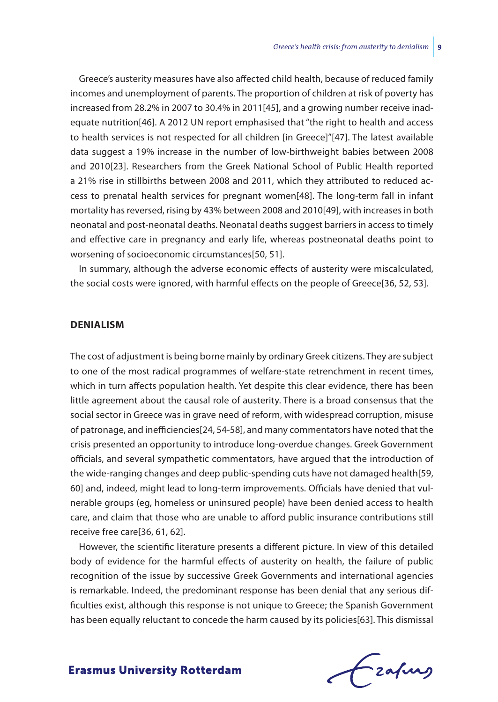Greece's austerity measures have also affected child health, because of reduced family incomes and unemployment of parents. The proportion of children at risk of poverty has increased from 28.2% in 2007 to 30.4% in 2011[45], and a growing number receive inadequate nutrition[46]. A 2012 UN report emphasised that "the right to health and access to health services is not respected for all children [in Greece]"[47]. The latest available data suggest a 19% increase in the number of low-birthweight babies between 2008 and 2010[23]. Researchers from the Greek National School of Public Health reported a 21% rise in stillbirths between 2008 and 2011, which they attributed to reduced access to prenatal health services for pregnant women[48]. The long-term fall in infant mortality has reversed, rising by 43% between 2008 and 2010[49], with increases in both neonatal and post-neonatal deaths. Neonatal deaths suggest barriers in access to timely and effective care in pregnancy and early life, whereas postneonatal deaths point to worsening of socioeconomic circumstances[50, 51].

In summary, although the adverse economic effects of austerity were miscalculated, the social costs were ignored, with harmful effects on the people of Greece[36, 52, 53].

#### **Denialism**

The cost of adjustment is being borne mainly by ordinary Greek citizens. They are subject to one of the most radical programmes of welfare-state retrenchment in recent times, which in turn affects population health. Yet despite this clear evidence, there has been little agreement about the causal role of austerity. There is a broad consensus that the social sector in Greece was in grave need of reform, with widespread corruption, misuse of patronage, and inefficiencies[24, 54-58], and many commentators have noted that the crisis presented an opportunity to introduce long-overdue changes. Greek Government officials, and several sympathetic commentators, have argued that the introduction of the wide-ranging changes and deep public-spending cuts have not damaged health[59, 60] and, indeed, might lead to long-term improvements. Officials have denied that vulnerable groups (eg, homeless or uninsured people) have been denied access to health care, and claim that those who are unable to afford public insurance contributions still receive free care[36, 61, 62].

However, the scientific literature presents a different picture. In view of this detailed body of evidence for the harmful effects of austerity on health, the failure of public recognition of the issue by successive Greek Governments and international agencies is remarkable. Indeed, the predominant response has been denial that any serious difficulties exist, although this response is not unique to Greece; the Spanish Government has been equally reluctant to concede the harm caused by its policies[63]. This dismissal

frafing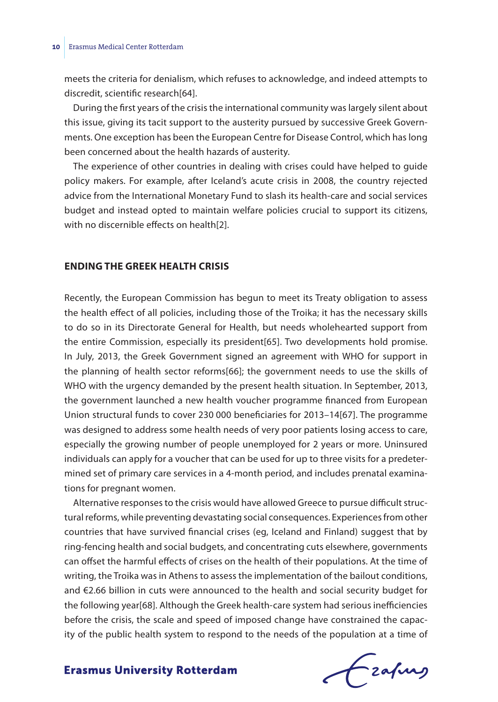meets the criteria for denialism, which refuses to acknowledge, and indeed attempts to discredit, scientific research[64].

During the first years of the crisis the international community was largely silent about this issue, giving its tacit support to the austerity pursued by successive Greek Governments. One exception has been the European Centre for Disease Control, which has long been concerned about the health hazards of austerity.

The experience of other countries in dealing with crises could have helped to guide policy makers. For example, after Iceland's acute crisis in 2008, the country rejected advice from the International Monetary Fund to slash its health-care and social services budget and instead opted to maintain welfare policies crucial to support its citizens, with no discernible effects on health[2].

# **Ending the Greek health crisis**

Recently, the European Commission has begun to meet its Treaty obligation to assess the health effect of all policies, including those of the Troika; it has the necessary skills to do so in its Directorate General for Health, but needs wholehearted support from the entire Commission, especially its president[65]. Two developments hold promise. In July, 2013, the Greek Government signed an agreement with WHO for support in the planning of health sector reforms[66]; the government needs to use the skills of WHO with the urgency demanded by the present health situation. In September, 2013, the government launched a new health voucher programme financed from European Union structural funds to cover 230 000 beneficiaries for 2013–14[67]. The programme was designed to address some health needs of very poor patients losing access to care, especially the growing number of people unemployed for 2 years or more. Uninsured individuals can apply for a voucher that can be used for up to three visits for a predetermined set of primary care services in a 4-month period, and includes prenatal examinations for pregnant women.

Alternative responses to the crisis would have allowed Greece to pursue difficult structural reforms, while preventing devastating social consequences. Experiences from other countries that have survived financial crises (eg, Iceland and Finland) suggest that by ring-fencing health and social budgets, and concentrating cuts elsewhere, governments can offset the harmful effects of crises on the health of their populations. At the time of writing, the Troika was in Athens to assess the implementation of the bailout conditions, and €2.66 billion in cuts were announced to the health and social security budget for the following year[68]. Although the Greek health-care system had serious inefficiencies before the crisis, the scale and speed of imposed change have constrained the capacity of the public health system to respond to the needs of the population at a time of

frafing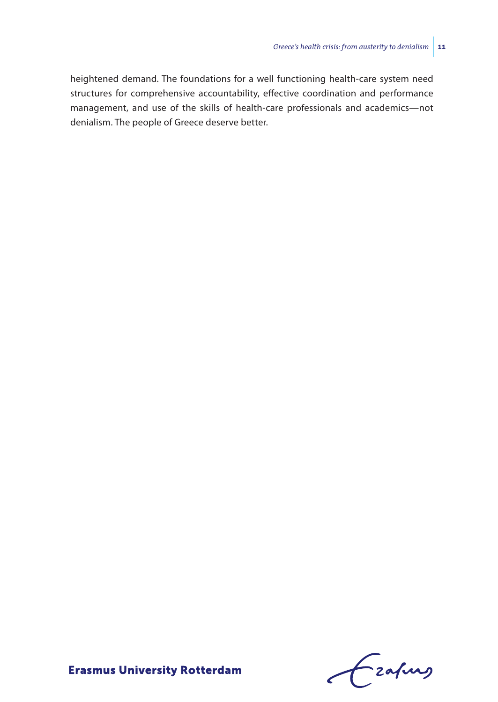heightened demand. The foundations for a well functioning health-care system need structures for comprehensive accountability, effective coordination and performance management, and use of the skills of health-care professionals and academics—not denialism. The people of Greece deserve better.

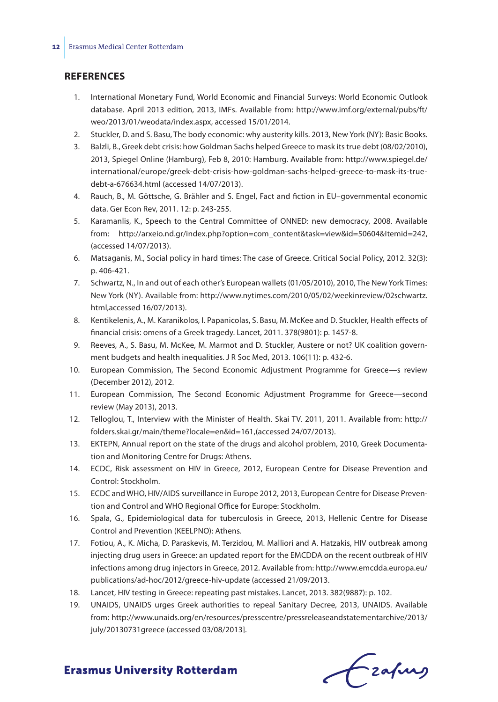#### **References**

- 1. International Monetary Fund, World Economic and Financial Surveys: World Economic Outlook database. April 2013 edition, 2013, IMFs. Available from: http://www.imf.org/external/pubs/ft/ weo/2013/01/weodata/index.aspx, accessed 15/01/2014.
- 2. Stuckler, D. and S. Basu, The body economic: why austerity kills. 2013, New York (NY): Basic Books.
- 3. Balzli, B., Greek debt crisis: how Goldman Sachs helped Greece to mask its true debt (08/02/2010), 2013, Spiegel Online (Hamburg), Feb 8, 2010: Hamburg. Available from: http://www.spiegel.de/ international/europe/greek-debt-crisis-how-goldman-sachs-helped-greece-to-mask-its-truedebt-a-676634.html (accessed 14/07/2013).
- 4. Rauch, B., M. Göttsche, G. Brähler and S. Engel, Fact and fiction in EU–governmental economic data. Ger Econ Rev, 2011. 12: p. 243-255.
- 5. Karamanlis, K., Speech to the Central Committee of ONNED: new democracy, 2008. Available from: http://arxeio.nd.gr/index.php?option=com\_content&task=view&id=50604&Itemid=242, (accessed 14/07/2013).
- 6. Matsaganis, M., Social policy in hard times: The case of Greece. Critical Social Policy, 2012. 32(3): p. 406-421.
- 7. Schwartz, N., In and out of each other's European wallets (01/05/2010), 2010, The New York Times: New York (NY). Available from: http://www.nytimes.com/2010/05/02/weekinreview/02schwartz. html,accessed 16/07/2013).
- 8. Kentikelenis, A., M. Karanikolos, I. Papanicolas, S. Basu, M. McKee and D. Stuckler, Health effects of financial crisis: omens of a Greek tragedy. Lancet, 2011. 378(9801): p. 1457-8.
- 9. Reeves, A., S. Basu, M. McKee, M. Marmot and D. Stuckler, Austere or not? UK coalition government budgets and health inequalities. J R Soc Med, 2013. 106(11): p. 432-6.
- 10. European Commission, The Second Economic Adjustment Programme for Greece—s review (December 2012), 2012.
- 11. European Commission, The Second Economic Adjustment Programme for Greece—second review (May 2013), 2013.
- 12. Telloglou, T., Interview with the Minister of Health. Skai TV. 2011, 2011. Available from: http:// folders.skai.gr/main/theme?locale=en&id=161,(accessed 24/07/2013).
- 13. EKTEPN, Annual report on the state of the drugs and alcohol problem, 2010, Greek Documentation and Monitoring Centre for Drugs: Athens.
- 14. ECDC, Risk assessment on HIV in Greece, 2012, European Centre for Disease Prevention and Control: Stockholm.
- 15. ECDC and WHO, HIV/AIDS surveillance in Europe 2012, 2013, European Centre for Disease Prevention and Control and WHO Regional Office for Europe: Stockholm.
- 16. Spala, G., Epidemiological data for tuberculosis in Greece, 2013, Hellenic Centre for Disease Control and Prevention (KEELPNO): Athens.
- 17. Fotiou, A., K. Micha, D. Paraskevis, M. Terzidou, M. Malliori and A. Hatzakis, HIV outbreak among injecting drug users in Greece: an updated report for the EMCDDA on the recent outbreak of HIV infections among drug injectors in Greece, 2012. Available from: http://www.emcdda.europa.eu/ publications/ad-hoc/2012/greece-hiv-update (accessed 21/09/2013.
- 18. Lancet, HIV testing in Greece: repeating past mistakes. Lancet, 2013. 382(9887): p. 102.
- 19. UNAIDS, UNAIDS urges Greek authorities to repeal Sanitary Decree, 2013, UNAIDS. Available from: http://www.unaids.org/en/resources/presscentre/pressreleaseandstatementarchive/2013/ july/20130731greece (accessed 03/08/2013].

Czafing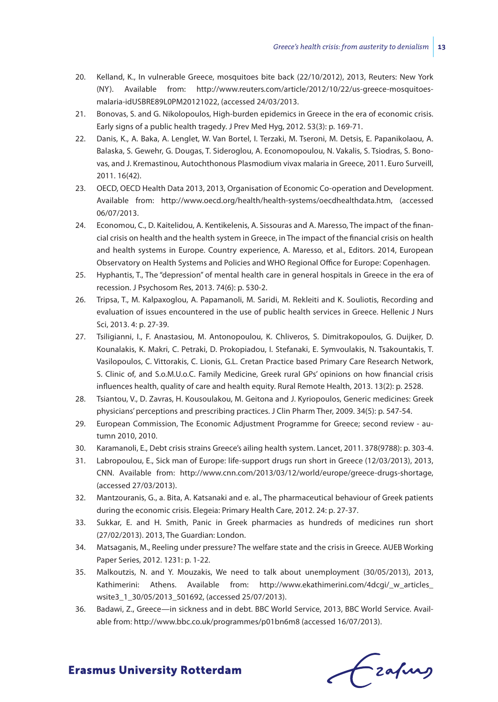- 20. Kelland, K., In vulnerable Greece, mosquitoes bite back (22/10/2012), 2013, Reuters: New York (NY). Available from: http://www.reuters.com/article/2012/10/22/us-greece-mosquitoesmalaria-idUSBRE89L0PM20121022, (accessed 24/03/2013.
- 21. Bonovas, S. and G. Nikolopoulos, High-burden epidemics in Greece in the era of economic crisis. Early signs of a public health tragedy. J Prev Med Hyg, 2012. 53(3): p. 169-71.
- 22. Danis, K., A. Baka, A. Lenglet, W. Van Bortel, I. Terzaki, M. Tseroni, M. Detsis, E. Papanikolaou, A. Balaska, S. Gewehr, G. Dougas, T. Sideroglou, A. Economopoulou, N. Vakalis, S. Tsiodras, S. Bonovas, and J. Kremastinou, Autochthonous Plasmodium vivax malaria in Greece, 2011. Euro Surveill, 2011. 16(42).
- 23. OECD, OECD Health Data 2013, 2013, Organisation of Economic Co-operation and Development. Available from: http://www.oecd.org/health/health-systems/oecdhealthdata.htm, (accessed 06/07/2013.
- 24. Economou, C., D. Kaitelidou, A. Kentikelenis, A. Sissouras and A. Maresso, The impact of the financial crisis on health and the health system in Greece, in The impact of the financial crisis on health and health systems in Europe. Country experience, A. Maresso, et al., Editors. 2014, European Observatory on Health Systems and Policies and WHO Regional Office for Europe: Copenhagen.
- 25. Hyphantis, T., The "depression" of mental health care in general hospitals in Greece in the era of recession. J Psychosom Res, 2013. 74(6): p. 530-2.
- 26. Tripsa, T., M. Kalpaxoglou, A. Papamanoli, M. Saridi, M. Rekleiti and K. Souliotis, Recording and evaluation of issues encountered in the use of public health services in Greece. Hellenic J Nurs Sci, 2013. 4: p. 27-39.
- 27. Tsiligianni, I., F. Anastasiou, M. Antonopoulou, K. Chliveros, S. Dimitrakopoulos, G. Duijker, D. Kounalakis, K. Makri, C. Petraki, D. Prokopiadou, I. Stefanaki, E. Symvoulakis, N. Tsakountakis, T. Vasilopoulos, C. Vittorakis, C. Lionis, G.L. Cretan Practice based Primary Care Research Network, S. Clinic of, and S.o.M.U.o.C. Family Medicine, Greek rural GPs' opinions on how financial crisis influences health, quality of care and health equity. Rural Remote Health, 2013. 13(2): p. 2528.
- 28. Tsiantou, V., D. Zavras, H. Kousoulakou, M. Geitona and J. Kyriopoulos, Generic medicines: Greek physicians' perceptions and prescribing practices. J Clin Pharm Ther, 2009. 34(5): p. 547-54.
- 29. European Commission, The Economic Adjustment Programme for Greece; second review autumn 2010, 2010.
- 30. Karamanoli, E., Debt crisis strains Greece's ailing health system. Lancet, 2011. 378(9788): p. 303-4.
- 31. Labropoulou, E., Sick man of Europe: life-support drugs run short in Greece (12/03/2013), 2013, CNN. Available from: http://www.cnn.com/2013/03/12/world/europe/greece-drugs-shortage, (accessed 27/03/2013).
- 32. Mantzouranis, G., a. Bita, A. Katsanaki and e. al., The pharmaceutical behaviour of Greek patients during the economic crisis. Elegeia: Primary Health Care, 2012. 24: p. 27-37.
- 33. Sukkar, E. and H. Smith, Panic in Greek pharmacies as hundreds of medicines run short (27/02/2013). 2013, The Guardian: London.
- 34. Matsaganis, M., Reeling under pressure? The welfare state and the crisis in Greece. AUEB Working Paper Series, 2012. 1231: p. 1-22.
- 35. Malkoutzis, N. and Y. Mouzakis, We need to talk about unemployment (30/05/2013), 2013, Kathimerini: Athens. Available from: http://www.ekathimerini.com/4dcqi/\_w\_articles\_ wsite3\_1\_30/05/2013\_501692, (accessed 25/07/2013).
- 36. Badawi, Z., Greece—in sickness and in debt. BBC World Service, 2013, BBC World Service. Available from: http://www.bbc.co.uk/programmes/p01bn6m8 (accessed 16/07/2013).

frafing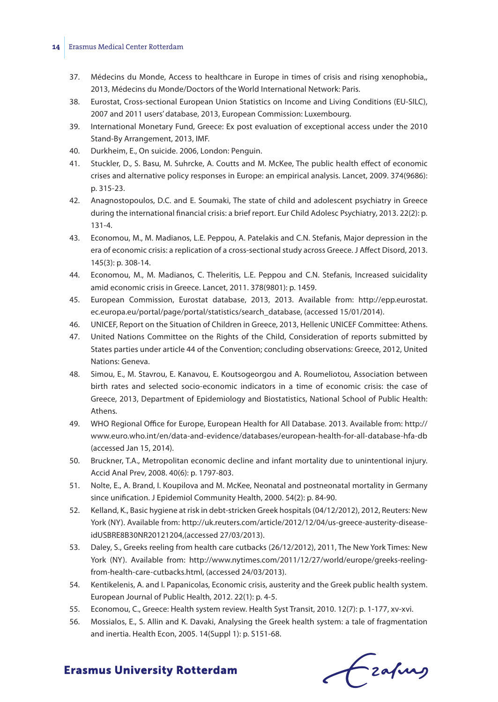#### **14** Erasmus Medical Center Rotterdam

- 37. Médecins du Monde, Access to healthcare in Europe in times of crisis and rising xenophobia,, 2013, Médecins du Monde/Doctors of the World International Network: Paris.
- 38. Eurostat, Cross-sectional European Union Statistics on Income and Living Conditions (EU-SILC), 2007 and 2011 users' database, 2013, European Commission: Luxembourg.
- 39. International Monetary Fund, Greece: Ex post evaluation of exceptional access under the 2010 Stand-By Arrangement, 2013, IMF.
- 40. Durkheim, E., On suicide. 2006, London: Penguin.
- 41. Stuckler, D., S. Basu, M. Suhrcke, A. Coutts and M. McKee, The public health effect of economic crises and alternative policy responses in Europe: an empirical analysis. Lancet, 2009. 374(9686): p. 315-23.
- 42. Anagnostopoulos, D.C. and E. Soumaki, The state of child and adolescent psychiatry in Greece during the international financial crisis: a brief report. Eur Child Adolesc Psychiatry, 2013. 22(2): p. 131-4.
- 43. Economou, M., M. Madianos, L.E. Peppou, A. Patelakis and C.N. Stefanis, Major depression in the era of economic crisis: a replication of a cross-sectional study across Greece. J Affect Disord, 2013. 145(3): p. 308-14.
- 44. Economou, M., M. Madianos, C. Theleritis, L.E. Peppou and C.N. Stefanis, Increased suicidality amid economic crisis in Greece. Lancet, 2011. 378(9801): p. 1459.
- 45. European Commission, Eurostat database, 2013, 2013. Available from: http://epp.eurostat. ec.europa.eu/portal/page/portal/statistics/search\_database, (accessed 15/01/2014).
- 46. UNICEF, Report on the Situation of Children in Greece, 2013, Hellenic UNICEF Committee: Athens.
- 47. United Nations Committee on the Rights of the Child, Consideration of reports submitted by States parties under article 44 of the Convention; concluding observations: Greece, 2012, United Nations: Geneva.
- 48. Simou, E., M. Stavrou, E. Kanavou, E. Koutsogeorgou and A. Roumeliotou, Association between birth rates and selected socio-economic indicators in a time of economic crisis: the case of Greece, 2013, Department of Epidemiology and Biostatistics, National School of Public Health: Athens.
- 49. WHO Regional Office for Europe, European Health for All Database. 2013. Available from: http:// www.euro.who.int/en/data-and-evidence/databases/european-health-for-all-database-hfa-db (accessed Jan 15, 2014).
- 50. Bruckner, T.A., Metropolitan economic decline and infant mortality due to unintentional injury. Accid Anal Prev, 2008. 40(6): p. 1797-803.
- 51. Nolte, E., A. Brand, I. Koupilova and M. McKee, Neonatal and postneonatal mortality in Germany since unification. J Epidemiol Community Health, 2000. 54(2): p. 84-90.
- 52. Kelland, K., Basic hygiene at risk in debt-stricken Greek hospitals (04/12/2012), 2012, Reuters: New York (NY). Available from: http://uk.reuters.com/article/2012/12/04/us-greece-austerity-diseaseidUSBRE8B30NR20121204,(accessed 27/03/2013).
- 53. Daley, S., Greeks reeling from health care cutbacks (26/12/2012), 2011, The New York Times: New York (NY). Available from: http://www.nytimes.com/2011/12/27/world/europe/greeks-reelingfrom-health-care-cutbacks.html, (accessed 24/03/2013).
- 54. Kentikelenis, A. and I. Papanicolas, Economic crisis, austerity and the Greek public health system. European Journal of Public Health, 2012. 22(1): p. 4-5.
- 55. Economou, C., Greece: Health system review. Health Syst Transit, 2010. 12(7): p. 1-177, xv-xvi.
- 56. Mossialos, E., S. Allin and K. Davaki, Analysing the Greek health system: a tale of fragmentation and inertia. Health Econ, 2005. 14(Suppl 1): p. S151-68.

Czafing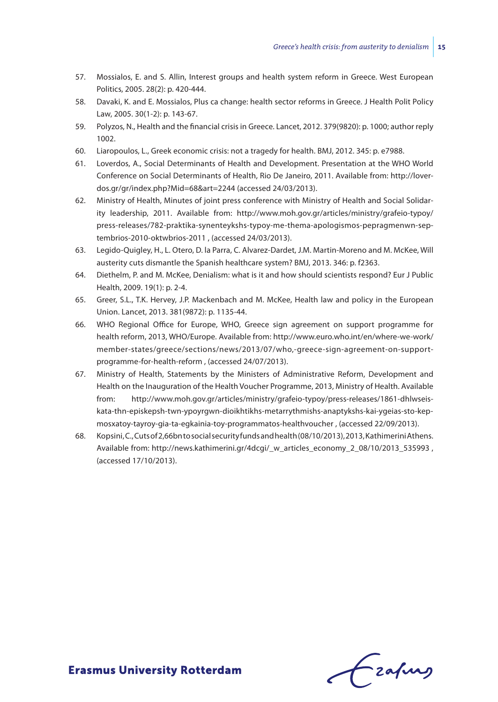- 57. Mossialos, E. and S. Allin, Interest groups and health system reform in Greece. West European Politics, 2005. 28(2): p. 420-444.
- 58. Davaki, K. and E. Mossialos, Plus ca change: health sector reforms in Greece. J Health Polit Policy Law, 2005. 30(1-2): p. 143-67.
- 59. Polyzos, N., Health and the financial crisis in Greece. Lancet, 2012. 379(9820): p. 1000; author reply 1002.
- 60. Liaropoulos, L., Greek economic crisis: not a tragedy for health. BMJ, 2012. 345: p. e7988.
- 61. Loverdos, A., Social Determinants of Health and Development. Presentation at the WHO World Conference on Social Determinants of Health, Rio De Janeiro, 2011. Available from: http://loverdos.gr/gr/index.php?Mid=68&art=2244 (accessed 24/03/2013).
- 62. Ministry of Health, Minutes of joint press conference with Ministry of Health and Social Solidarity leadership, 2011. Available from: http://www.moh.gov.gr/articles/ministry/grafeio-typoy/ press-releases/782-praktika-synenteykshs-typoy-me-thema-apologismos-pepragmenwn-septembrios-2010-oktwbrios-2011 , (accessed 24/03/2013).
- 63. Legido-Quigley, H., L. Otero, D. la Parra, C. Alvarez-Dardet, J.M. Martin-Moreno and M. McKee, Will austerity cuts dismantle the Spanish healthcare system? BMJ, 2013. 346: p. f2363.
- 64. Diethelm, P. and M. McKee, Denialism: what is it and how should scientists respond? Eur J Public Health, 2009. 19(1): p. 2-4.
- 65. Greer, S.L., T.K. Hervey, J.P. Mackenbach and M. McKee, Health law and policy in the European Union. Lancet, 2013. 381(9872): p. 1135-44.
- 66. WHO Regional Office for Europe, WHO, Greece sign agreement on support programme for health reform, 2013, WHO/Europe. Available from: http://www.euro.who.int/en/where-we-work/ member-states/greece/sections/news/2013/07/who,-greece-sign-agreement-on-supportprogramme-for-health-reform , (accessed 24/07/2013).
- 67. Ministry of Health, Statements by the Ministers of Administrative Reform, Development and Health on the Inauguration of the Health Voucher Programme, 2013, Ministry of Health. Available from: http://www.moh.gov.gr/articles/ministry/grafeio-typoy/press-releases/1861-dhlwseiskata-thn-episkepsh-twn-ypoyrgwn-dioikhtikhs-metarrythmishs-anaptykshs-kai-ygeias-sto-kepmosxatoy-tayroy-gia-ta-egkainia-toy-programmatos-healthvoucher , (accessed 22/09/2013).
- 68. Kopsini, C., Cuts of 2,66bn to social security funds and health (08/10/2013), 2013, Kathimerini Athens. Available from: http://news.kathimerini.gr/4dcgi/\_w\_articles\_economy\_2\_08/10/2013\_535993 , (accessed 17/10/2013).